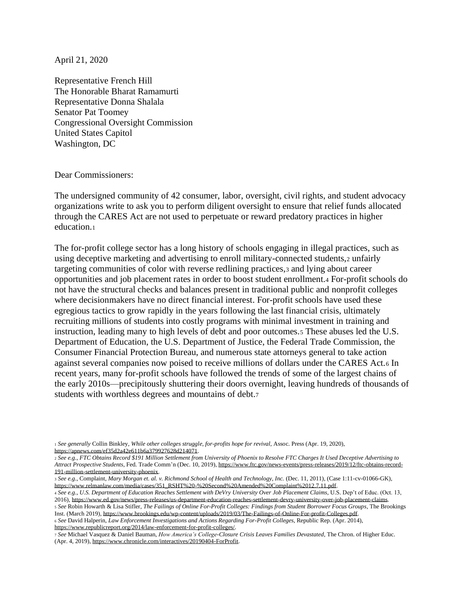April 21, 2020

Representative French Hill The Honorable Bharat Ramamurti Representative Donna Shalala Senator Pat Toomey Congressional Oversight Commission United States Capitol Washington, DC

Dear Commissioners:

The undersigned community of 42 consumer, labor, oversight, civil rights, and student advocacy organizations write to ask you to perform diligent oversight to ensure that relief funds allocated through the CARES Act are not used to perpetuate or reward predatory practices in higher education.<sup>1</sup>

The for-profit college sector has a long history of schools engaging in illegal practices, such as using deceptive marketing and advertising to enroll military-connected students,<sup>2</sup> unfairly targeting communities of color with reverse redlining practices,<sup>3</sup> and lying about career opportunities and job placement rates in order to boost student enrollment.<sup>4</sup> For-profit schools do not have the structural checks and balances present in traditional public and nonprofit colleges where decisionmakers have no direct financial interest. For-profit schools have used these egregious tactics to grow rapidly in the years following the last financial crisis, ultimately recruiting millions of students into costly programs with minimal investment in training and instruction, leading many to high levels of debt and poor outcomes.<sup>5</sup> These abuses led the U.S. Department of Education, the U.S. Department of Justice, the Federal Trade Commission, the Consumer Financial Protection Bureau, and numerous state attorneys general to take action against several companies now poised to receive millions of dollars under the CARES Act.<sup>6</sup> In recent years, many for-profit schools have followed the trends of some of the largest chains of the early 2010s—precipitously shuttering their doors overnight, leaving hundreds of thousands of students with worthless degrees and mountains of debt.<sup>7</sup>

<sup>6</sup> *See* David Halperin, *Law Enforcement Investigations and Actions Regarding For-Profit Colleges*, Republic Rep. (Apr. 2014), [https://www.republicreport.org/2014/law-enforcement-for-profit-colleges/.](about:blank)

<sup>1</sup> *See generally* Collin Binkley, *While other colleges struggle, for-profits hope for revival*, Assoc. Press (Apr. 19, 2020), [https://apnews.com/ef35d2a42e611b6a379927628d214071.](about:blank)

<sup>2</sup> *See e.g.*, *FTC Obtains Record \$191 Million Settlement from University of Phoenix to Resolve FTC Charges It Used Deceptive Advertising to Attract Prospective Students*, Fed. Trade Comm'n (Dec. 10, 2019)[, https://www.ftc.gov/news-events/press-releases/2019/12/ftc-obtains-record-](about:blank)[191-million-settlement-university-phoenix.](about:blank) 

<sup>3</sup> *See e.g.*, Complaint, *Mary Morgan et. al. v. Richmond School of Health and Technology, Inc.* (Dec. 11, 2011), (Case 1:11-cv-01066-GK), [https://www.relmanlaw.com/media/cases/351\\_RSHT%20-%20Second%20Amended%20Complaint%2012.7.11.pdf.](about:blank) 

<sup>4</sup> *See e.g.*, *U.S. Department of Education Reaches Settlement with DeVry University Over Job Placement Claims*, U.S. Dep't of Educ. (Oct. 13, 2016)[, https://www.ed.gov/news/press-releases/us-department-education-reaches-settlement-devry-university-over-job-placement-claims.](about:blank)

<sup>5</sup> *See* Robin Howarth & Lisa Stifler, *The Failings of Online For-Profit Colleges: Findings from Student Borrower Focus Groups*, The Brookings Inst. (March 2019)[, https://www.brookings.edu/wp-content/uploads/2019/03/The-Failings-of-Online-For-profit-Colleges.pdf.](about:blank)

<sup>7</sup> *See* Michael Vasquez & Daniel Bauman, *How America's College-Closure Crisis Leaves Families Devastated*, The Chron. of Higher Educ. (Apr. 4, 2019)[, https://www.chronicle.com/interactives/20190404-ForProfit.](about:blank)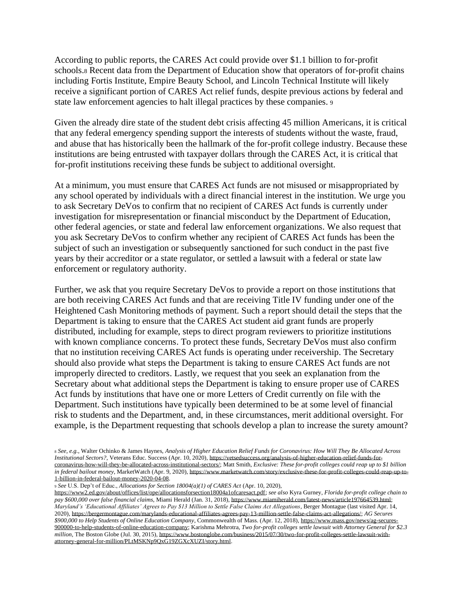According to public reports, the CARES Act could provide over \$1.1 billion to for-profit schools.<sup>8</sup> Recent data from the Department of Education show that operators of for-profit chains including Fortis Institute, Empire Beauty School, and Lincoln Technical Institute will likely receive a significant portion of CARES Act relief funds, despite previous actions by federal and state law enforcement agencies to halt illegal practices by these companies. <sup>9</sup>

Given the already dire state of the student debt crisis affecting 45 million Americans, it is critical that any federal emergency spending support the interests of students without the waste, fraud, and abuse that has historically been the hallmark of the for-profit college industry. Because these institutions are being entrusted with taxpayer dollars through the CARES Act, it is critical that for-profit institutions receiving these funds be subject to additional oversight.

At a minimum, you must ensure that CARES Act funds are not misused or misappropriated by any school operated by individuals with a direct financial interest in the institution. We urge you to ask Secretary DeVos to confirm that no recipient of CARES Act funds is currently under investigation for misrepresentation or financial misconduct by the Department of Education, other federal agencies, or state and federal law enforcement organizations. We also request that you ask Secretary DeVos to confirm whether any recipient of CARES Act funds has been the subject of such an investigation or subsequently sanctioned for such conduct in the past five years by their accreditor or a state regulator, or settled a lawsuit with a federal or state law enforcement or regulatory authority.

Further, we ask that you require Secretary DeVos to provide a report on those institutions that are both receiving CARES Act funds and that are receiving Title IV funding under one of the Heightened Cash Monitoring methods of payment. Such a report should detail the steps that the Department is taking to ensure that the CARES Act student aid grant funds are properly distributed, including for example, steps to direct program reviewers to prioritize institutions with known compliance concerns. To protect these funds, Secretary DeVos must also confirm that no institution receiving CARES Act funds is operating under receivership. The Secretary should also provide what steps the Department is taking to ensure CARES Act funds are not improperly directed to creditors. Lastly, we request that you seek an explanation from the Secretary about what additional steps the Department is taking to ensure proper use of CARES Act funds by institutions that have one or more Letters of Credit currently on file with the Department. Such institutions have typically been determined to be at some level of financial risk to students and the Department, and, in these circumstances, merit additional oversight. For example, is the Department requesting that schools develop a plan to increase the surety amount?

<sup>9</sup> *See* U.S. Dep't of Educ., *Allocations for Section 18004(a)(1) of CARES Act* (Apr. 10, 2020),

<sup>8</sup> *See, e.g.*, Walter Ochinko & James Haynes, *Analysis of Higher Education Relief Funds for Coronavirus: How Will They Be Allocated Across Institutional Sectors?*, Veterans Educ. Success (Apr. 10, 2020)[, https://vetsedsuccess.org/analysis-of-higher-education-relief-funds-for](about:blank)[coronavirus-how-will-they-be-allocated-across-institutional-sectors/;](about:blank) Matt Smith, *Exclusive: These for-profit colleges could reap up to \$1 billion in federal bailout money*, MarketWatch (Apr. 9, 2020)[, https://www.marketwatch.com/story/exclusive-these-for-profit-colleges-could-reap-up-to-](https://www.marketwatch.com/story/exclusive-these-for-profit-colleges-could-reap-up-to-1-billion-in-federal-bailout-money-2020-04-08)[1-billion-in-federal-bailout-money-2020-04-08.](https://www.marketwatch.com/story/exclusive-these-for-profit-colleges-could-reap-up-to-1-billion-in-federal-bailout-money-2020-04-08)

[https://www2.ed.gov/about/offices/list/ope/allocationsforsection18004a1ofcaresact.pdf;](https://www2.ed.gov/about/offices/list/ope/allocationsforsection18004a1ofcaresact.pdf) *see also* Kyra Gurney, *Florida for-profit college chain to pay \$600,000 over false financial claims*, Miami Herald (Jan. 31, 2018)[, https://www.miamiherald.com/latest-news/article197664539.html;](about:blank) *Maryland's 'Educational Affiliates' Agrees to Pay \$13 Million to Settle False Claims Act Allegations*, Berger Montague (last visited Apr. 14, 2020)[, https://bergermontague.com/marylands-educational-affiliates-agrees-pay-13-million-settle-false-claims-act-allegations/;](about:blank) *AG Secures \$900,000 to Help Students of Online Education Company*, Commonwealth of Mass. (Apr. 12, 2018)[, https://www.mass.gov/news/ag-secures-](about:blank)[900000-to-help-students-of-online-education-company;](about:blank) Karishma Mehrotra, *Two for-profit colleges settle lawsuit with Attorney General for \$2.3 million*, The Boston Globe (Jul. 30, 2015)[, https://www.bostonglobe.com/business/2015/07/30/two-for-profit-colleges-settle-lawsuit-with](about:blank)[attorney-general-for-million/PLtMSKNp9QxG19ZGXcXUZI/story.html.](about:blank)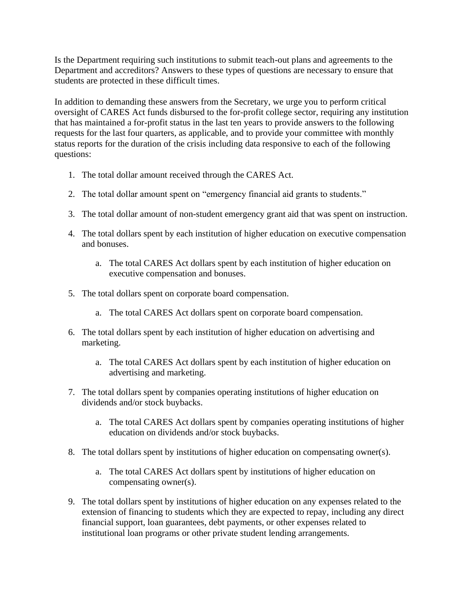Is the Department requiring such institutions to submit teach-out plans and agreements to the Department and accreditors? Answers to these types of questions are necessary to ensure that students are protected in these difficult times.

In addition to demanding these answers from the Secretary, we urge you to perform critical oversight of CARES Act funds disbursed to the for-profit college sector, requiring any institution that has maintained a for-profit status in the last ten years to provide answers to the following requests for the last four quarters, as applicable, and to provide your committee with monthly status reports for the duration of the crisis including data responsive to each of the following questions:

- 1. The total dollar amount received through the CARES Act.
- 2. The total dollar amount spent on "emergency financial aid grants to students."
- 3. The total dollar amount of non-student emergency grant aid that was spent on instruction.
- 4. The total dollars spent by each institution of higher education on executive compensation and bonuses.
	- a. The total CARES Act dollars spent by each institution of higher education on executive compensation and bonuses.
- 5. The total dollars spent on corporate board compensation.
	- a. The total CARES Act dollars spent on corporate board compensation.
- 6. The total dollars spent by each institution of higher education on advertising and marketing.
	- a. The total CARES Act dollars spent by each institution of higher education on advertising and marketing.
- 7. The total dollars spent by companies operating institutions of higher education on dividends and/or stock buybacks.
	- a. The total CARES Act dollars spent by companies operating institutions of higher education on dividends and/or stock buybacks.
- 8. The total dollars spent by institutions of higher education on compensating owner(s).
	- a. The total CARES Act dollars spent by institutions of higher education on compensating owner(s).
- 9. The total dollars spent by institutions of higher education on any expenses related to the extension of financing to students which they are expected to repay, including any direct financial support, loan guarantees, debt payments, or other expenses related to institutional loan programs or other private student lending arrangements.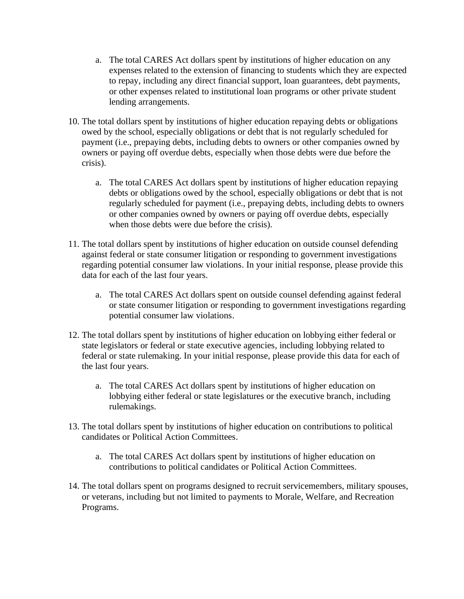- a. The total CARES Act dollars spent by institutions of higher education on any expenses related to the extension of financing to students which they are expected to repay, including any direct financial support, loan guarantees, debt payments, or other expenses related to institutional loan programs or other private student lending arrangements.
- 10. The total dollars spent by institutions of higher education repaying debts or obligations owed by the school, especially obligations or debt that is not regularly scheduled for payment (i.e., prepaying debts, including debts to owners or other companies owned by owners or paying off overdue debts, especially when those debts were due before the crisis).
	- a. The total CARES Act dollars spent by institutions of higher education repaying debts or obligations owed by the school, especially obligations or debt that is not regularly scheduled for payment (i.e., prepaying debts, including debts to owners or other companies owned by owners or paying off overdue debts, especially when those debts were due before the crisis).
- 11. The total dollars spent by institutions of higher education on outside counsel defending against federal or state consumer litigation or responding to government investigations regarding potential consumer law violations. In your initial response, please provide this data for each of the last four years.
	- a. The total CARES Act dollars spent on outside counsel defending against federal or state consumer litigation or responding to government investigations regarding potential consumer law violations.
- 12. The total dollars spent by institutions of higher education on lobbying either federal or state legislators or federal or state executive agencies, including lobbying related to federal or state rulemaking. In your initial response, please provide this data for each of the last four years.
	- a. The total CARES Act dollars spent by institutions of higher education on lobbying either federal or state legislatures or the executive branch, including rulemakings.
- 13. The total dollars spent by institutions of higher education on contributions to political candidates or Political Action Committees.
	- a. The total CARES Act dollars spent by institutions of higher education on contributions to political candidates or Political Action Committees.
- 14. The total dollars spent on programs designed to recruit servicemembers, military spouses, or veterans, including but not limited to payments to Morale, Welfare, and Recreation Programs.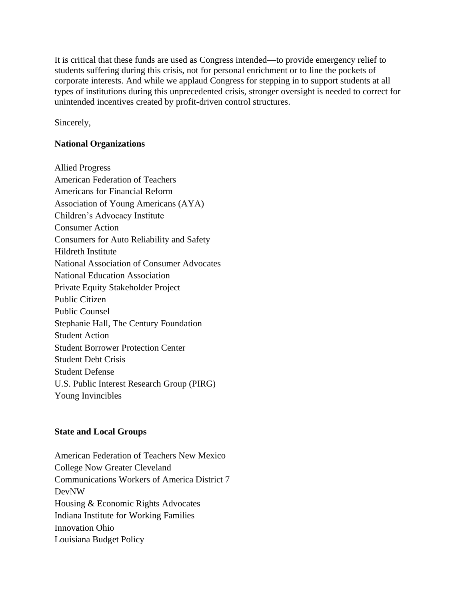It is critical that these funds are used as Congress intended—to provide emergency relief to students suffering during this crisis, not for personal enrichment or to line the pockets of corporate interests. And while we applaud Congress for stepping in to support students at all types of institutions during this unprecedented crisis, stronger oversight is needed to correct for unintended incentives created by profit-driven control structures.

Sincerely,

## **National Organizations**

Allied Progress American Federation of Teachers Americans for Financial Reform Association of Young Americans (AYA) Children's Advocacy Institute Consumer Action Consumers for Auto Reliability and Safety Hildreth Institute National Association of Consumer Advocates National Education Association Private Equity Stakeholder Project Public Citizen Public Counsel Stephanie Hall, The Century Foundation Student Action Student Borrower Protection Center Student Debt Crisis Student Defense U.S. Public Interest Research Group (PIRG) Young Invincibles

## **State and Local Groups**

American Federation of Teachers New Mexico College Now Greater Cleveland Communications Workers of America District 7 DevNW Housing & Economic Rights Advocates Indiana Institute for Working Families Innovation Ohio Louisiana Budget Policy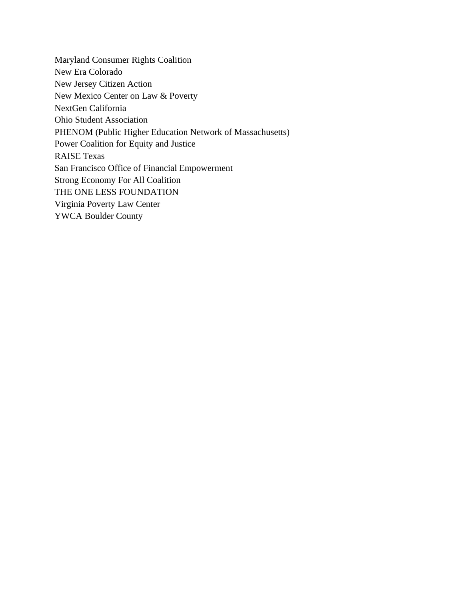Maryland Consumer Rights Coalition New Era Colorado New Jersey Citizen Action New Mexico Center on Law & Poverty NextGen California Ohio Student Association PHENOM (Public Higher Education Network of Massachusetts) Power Coalition for Equity and Justice RAISE Texas San Francisco Office of Financial Empowerment Strong Economy For All Coalition THE ONE LESS FOUNDATION Virginia Poverty Law Center YWCA Boulder County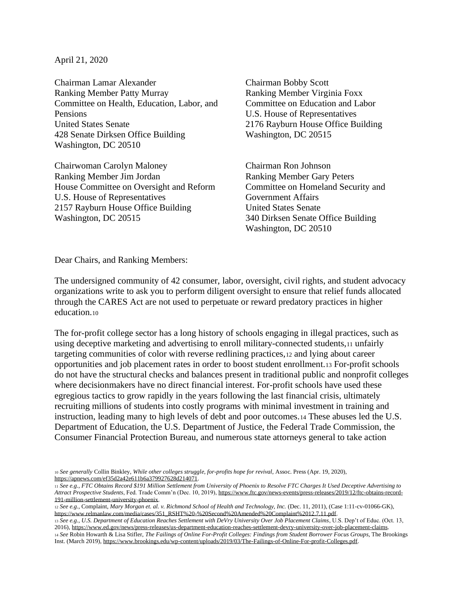April 21, 2020

Chairman Lamar Alexander Chairman Bobby Scott Ranking Member Patty Murray **Ranking Member Virginia Foxx** Committee on Health, Education, Labor, and Committee on Education and Labor Pensions U.S. House of Representatives United States Senate 2176 Rayburn House Office Building 428 Senate Dirksen Office Building Washington, DC 20515 Washington, DC 20510

Chairwoman Carolyn Maloney Chairman Ron Johnson Ranking Member Jim Jordan Ranking Member Gary Peters House Committee on Oversight and Reform Committee on Homeland Security and U.S. House of Representatives Government Affairs 2157 Rayburn House Office Building United States Senate Washington, DC 20515 340 Dirksen Senate Office Building

Washington, DC 20510

Dear Chairs, and Ranking Members:

The undersigned community of 42 consumer, labor, oversight, civil rights, and student advocacy organizations write to ask you to perform diligent oversight to ensure that relief funds allocated through the CARES Act are not used to perpetuate or reward predatory practices in higher education.<sup>10</sup>

The for-profit college sector has a long history of schools engaging in illegal practices, such as using deceptive marketing and advertising to enroll military-connected students,<sup>11</sup> unfairly targeting communities of color with reverse redlining practices,<sup>12</sup> and lying about career opportunities and job placement rates in order to boost student enrollment.<sup>13</sup> For-profit schools do not have the structural checks and balances present in traditional public and nonprofit colleges where decisionmakers have no direct financial interest. For-profit schools have used these egregious tactics to grow rapidly in the years following the last financial crisis, ultimately recruiting millions of students into costly programs with minimal investment in training and instruction, leading many to high levels of debt and poor outcomes.<sup>14</sup> These abuses led the U.S. Department of Education, the U.S. Department of Justice, the Federal Trade Commission, the Consumer Financial Protection Bureau, and numerous state attorneys general to take action

<sup>10</sup> *See generally* Collin Binkley, *While other colleges struggle, for-profits hope for revival*, Assoc. Press (Apr. 19, 2020), [https://apnews.com/ef35d2a42e611b6a379927628d214071.](about:blank)

<sup>11</sup> *See e.g.*, *FTC Obtains Record \$191 Million Settlement from University of Phoenix to Resolve FTC Charges It Used Deceptive Advertising to Attract Prospective Students*, Fed. Trade Comm'n (Dec. 10, 2019)[, https://www.ftc.gov/news-events/press-releases/2019/12/ftc-obtains-record-](about:blank)[191-million-settlement-university-phoenix.](about:blank) 

<sup>12</sup> *See e.g.*, Complaint, *Mary Morgan et. al. v. Richmond School of Health and Technology, Inc.* (Dec. 11, 2011), (Case 1:11-cv-01066-GK), [https://www.relmanlaw.com/media/cases/351\\_RSHT%20-%20Second%20Amended%20Complaint%2012.7.11.pdf.](about:blank) 

<sup>13</sup> *See e.g.*, *U.S. Department of Education Reaches Settlement with DeVry University Over Job Placement Claims*, U.S. Dep't of Educ. (Oct. 13, 2016)[, https://www.ed.gov/news/press-releases/us-department-education-reaches-settlement-devry-university-over-job-placement-claims.](about:blank) <sup>14</sup> *See* Robin Howarth & Lisa Stifler, *The Failings of Online For-Profit Colleges: Findings from Student Borrower Focus Groups*, The Brookings Inst. (March 2019)[, https://www.brookings.edu/wp-content/uploads/2019/03/The-Failings-of-Online-For-profit-Colleges.pdf.](about:blank)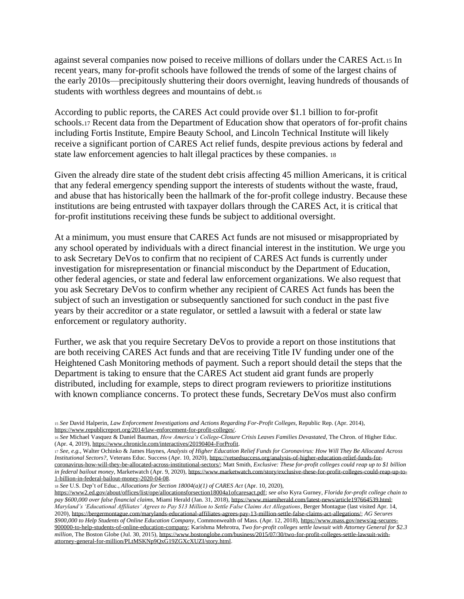against several companies now poised to receive millions of dollars under the CARES Act.<sup>15</sup> In recent years, many for-profit schools have followed the trends of some of the largest chains of the early 2010s—precipitously shuttering their doors overnight, leaving hundreds of thousands of students with worthless degrees and mountains of debt.<sup>16</sup>

According to public reports, the CARES Act could provide over \$1.1 billion to for-profit schools.<sup>17</sup> Recent data from the Department of Education show that operators of for-profit chains including Fortis Institute, Empire Beauty School, and Lincoln Technical Institute will likely receive a significant portion of CARES Act relief funds, despite previous actions by federal and state law enforcement agencies to halt illegal practices by these companies. <sup>18</sup>

Given the already dire state of the student debt crisis affecting 45 million Americans, it is critical that any federal emergency spending support the interests of students without the waste, fraud, and abuse that has historically been the hallmark of the for-profit college industry. Because these institutions are being entrusted with taxpayer dollars through the CARES Act, it is critical that for-profit institutions receiving these funds be subject to additional oversight.

At a minimum, you must ensure that CARES Act funds are not misused or misappropriated by any school operated by individuals with a direct financial interest in the institution. We urge you to ask Secretary DeVos to confirm that no recipient of CARES Act funds is currently under investigation for misrepresentation or financial misconduct by the Department of Education, other federal agencies, or state and federal law enforcement organizations. We also request that you ask Secretary DeVos to confirm whether any recipient of CARES Act funds has been the subject of such an investigation or subsequently sanctioned for such conduct in the past five years by their accreditor or a state regulator, or settled a lawsuit with a federal or state law enforcement or regulatory authority.

Further, we ask that you require Secretary DeVos to provide a report on those institutions that are both receiving CARES Act funds and that are receiving Title IV funding under one of the Heightened Cash Monitoring methods of payment. Such a report should detail the steps that the Department is taking to ensure that the CARES Act student aid grant funds are properly distributed, including for example, steps to direct program reviewers to prioritize institutions with known compliance concerns. To protect these funds, Secretary DeVos must also confirm

<sup>18</sup> *See* U.S. Dep't of Educ., *Allocations for Section 18004(a)(1) of CARES Act* (Apr. 10, 2020),

<sup>15</sup> *See* David Halperin, *Law Enforcement Investigations and Actions Regarding For-Profit Colleges*, Republic Rep. (Apr. 2014), [https://www.republicreport.org/2014/law-enforcement-for-profit-colleges/.](about:blank)

<sup>16</sup> *See* Michael Vasquez & Daniel Bauman, *How America's College-Closure Crisis Leaves Families Devastated*, The Chron. of Higher Educ. (Apr. 4, 2019)[, https://www.chronicle.com/interactives/20190404-ForProfit.](about:blank)

<sup>17</sup> *See, e.g.*, Walter Ochinko & James Haynes, *Analysis of Higher Education Relief Funds for Coronavirus: How Will They Be Allocated Across Institutional Sectors?*, Veterans Educ. Success (Apr. 10, 2020)[, https://vetsedsuccess.org/analysis-of-higher-education-relief-funds-for](about:blank)[coronavirus-how-will-they-be-allocated-across-institutional-sectors/;](about:blank) Matt Smith, *Exclusive: These for-profit colleges could reap up to \$1 billion in federal bailout money*, Marketwatch (Apr. 9, 2020)[, https://www.marketwatch.com/story/exclusive-these-for-profit-colleges-could-reap-up-to-](https://www.marketwatch.com/story/exclusive-these-for-profit-colleges-could-reap-up-to-1-billion-in-federal-bailout-money-2020-04-08)[1-billion-in-federal-bailout-money-2020-04-08.](https://www.marketwatch.com/story/exclusive-these-for-profit-colleges-could-reap-up-to-1-billion-in-federal-bailout-money-2020-04-08)

[https://www2.ed.gov/about/offices/list/ope/allocationsforsection18004a1ofcaresact.pdf;](https://www2.ed.gov/about/offices/list/ope/allocationsforsection18004a1ofcaresact.pdf) *see also* Kyra Gurney, *Florida for-profit college chain to pay \$600,000 over false financial claims*, Miami Herald (Jan. 31, 2018)[, https://www.miamiherald.com/latest-news/article197664539.html;](about:blank) *Maryland's 'Educational Affiliates' Agrees to Pay \$13 Million to Settle False Claims Act Allegations*, Berger Montague (last visited Apr. 14, 2020)[, https://bergermontague.com/marylands-educational-affiliates-agrees-pay-13-million-settle-false-claims-act-allegations/;](about:blank) *AG Secures \$900,000 to Help Students of Online Education Company*, Commonwealth of Mass. (Apr. 12, 2018)[, https://www.mass.gov/news/ag-secures-](about:blank)[900000-to-help-students-of-online-education-company;](about:blank) Karishma Mehrotra, *Two for-profit colleges settle lawsuit with Attorney General for \$2.3 million*, The Boston Globe (Jul. 30, 2015)[, https://www.bostonglobe.com/business/2015/07/30/two-for-profit-colleges-settle-lawsuit-with](about:blank)[attorney-general-for-million/PLtMSKNp9QxG19ZGXcXUZI/story.html.](about:blank)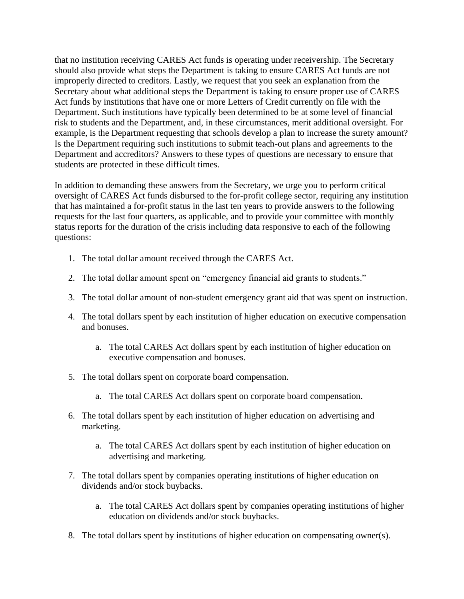that no institution receiving CARES Act funds is operating under receivership. The Secretary should also provide what steps the Department is taking to ensure CARES Act funds are not improperly directed to creditors. Lastly, we request that you seek an explanation from the Secretary about what additional steps the Department is taking to ensure proper use of CARES Act funds by institutions that have one or more Letters of Credit currently on file with the Department. Such institutions have typically been determined to be at some level of financial risk to students and the Department, and, in these circumstances, merit additional oversight. For example, is the Department requesting that schools develop a plan to increase the surety amount? Is the Department requiring such institutions to submit teach-out plans and agreements to the Department and accreditors? Answers to these types of questions are necessary to ensure that students are protected in these difficult times.

In addition to demanding these answers from the Secretary, we urge you to perform critical oversight of CARES Act funds disbursed to the for-profit college sector, requiring any institution that has maintained a for-profit status in the last ten years to provide answers to the following requests for the last four quarters, as applicable, and to provide your committee with monthly status reports for the duration of the crisis including data responsive to each of the following questions:

- 1. The total dollar amount received through the CARES Act.
- 2. The total dollar amount spent on "emergency financial aid grants to students."
- 3. The total dollar amount of non-student emergency grant aid that was spent on instruction.
- 4. The total dollars spent by each institution of higher education on executive compensation and bonuses.
	- a. The total CARES Act dollars spent by each institution of higher education on executive compensation and bonuses.
- 5. The total dollars spent on corporate board compensation.
	- a. The total CARES Act dollars spent on corporate board compensation.
- 6. The total dollars spent by each institution of higher education on advertising and marketing.
	- a. The total CARES Act dollars spent by each institution of higher education on advertising and marketing.
- 7. The total dollars spent by companies operating institutions of higher education on dividends and/or stock buybacks.
	- a. The total CARES Act dollars spent by companies operating institutions of higher education on dividends and/or stock buybacks.
- 8. The total dollars spent by institutions of higher education on compensating owner(s).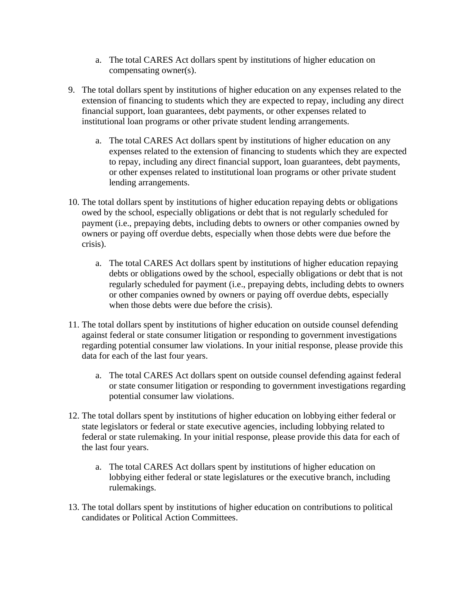- a. The total CARES Act dollars spent by institutions of higher education on compensating owner(s).
- 9. The total dollars spent by institutions of higher education on any expenses related to the extension of financing to students which they are expected to repay, including any direct financial support, loan guarantees, debt payments, or other expenses related to institutional loan programs or other private student lending arrangements.
	- a. The total CARES Act dollars spent by institutions of higher education on any expenses related to the extension of financing to students which they are expected to repay, including any direct financial support, loan guarantees, debt payments, or other expenses related to institutional loan programs or other private student lending arrangements.
- 10. The total dollars spent by institutions of higher education repaying debts or obligations owed by the school, especially obligations or debt that is not regularly scheduled for payment (i.e., prepaying debts, including debts to owners or other companies owned by owners or paying off overdue debts, especially when those debts were due before the crisis).
	- a. The total CARES Act dollars spent by institutions of higher education repaying debts or obligations owed by the school, especially obligations or debt that is not regularly scheduled for payment (i.e., prepaying debts, including debts to owners or other companies owned by owners or paying off overdue debts, especially when those debts were due before the crisis).
- 11. The total dollars spent by institutions of higher education on outside counsel defending against federal or state consumer litigation or responding to government investigations regarding potential consumer law violations. In your initial response, please provide this data for each of the last four years.
	- a. The total CARES Act dollars spent on outside counsel defending against federal or state consumer litigation or responding to government investigations regarding potential consumer law violations.
- 12. The total dollars spent by institutions of higher education on lobbying either federal or state legislators or federal or state executive agencies, including lobbying related to federal or state rulemaking. In your initial response, please provide this data for each of the last four years.
	- a. The total CARES Act dollars spent by institutions of higher education on lobbying either federal or state legislatures or the executive branch, including rulemakings.
- 13. The total dollars spent by institutions of higher education on contributions to political candidates or Political Action Committees.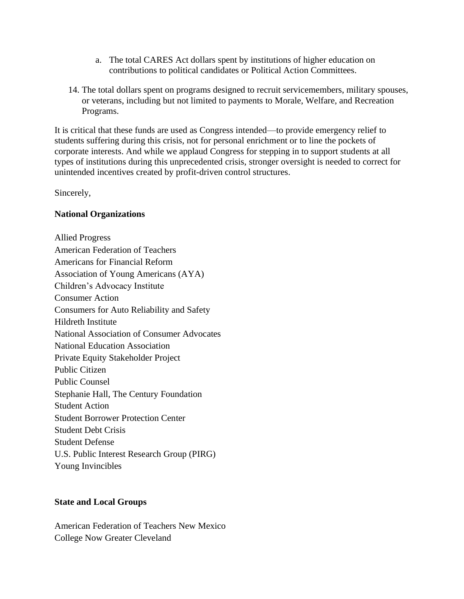- a. The total CARES Act dollars spent by institutions of higher education on contributions to political candidates or Political Action Committees.
- 14. The total dollars spent on programs designed to recruit servicemembers, military spouses, or veterans, including but not limited to payments to Morale, Welfare, and Recreation Programs.

It is critical that these funds are used as Congress intended—to provide emergency relief to students suffering during this crisis, not for personal enrichment or to line the pockets of corporate interests. And while we applaud Congress for stepping in to support students at all types of institutions during this unprecedented crisis, stronger oversight is needed to correct for unintended incentives created by profit-driven control structures.

Sincerely,

## **National Organizations**

Allied Progress American Federation of Teachers Americans for Financial Reform Association of Young Americans (AYA) Children's Advocacy Institute Consumer Action Consumers for Auto Reliability and Safety Hildreth Institute National Association of Consumer Advocates National Education Association Private Equity Stakeholder Project Public Citizen Public Counsel Stephanie Hall, The Century Foundation Student Action Student Borrower Protection Center Student Debt Crisis Student Defense U.S. Public Interest Research Group (PIRG) Young Invincibles

## **State and Local Groups**

American Federation of Teachers New Mexico College Now Greater Cleveland